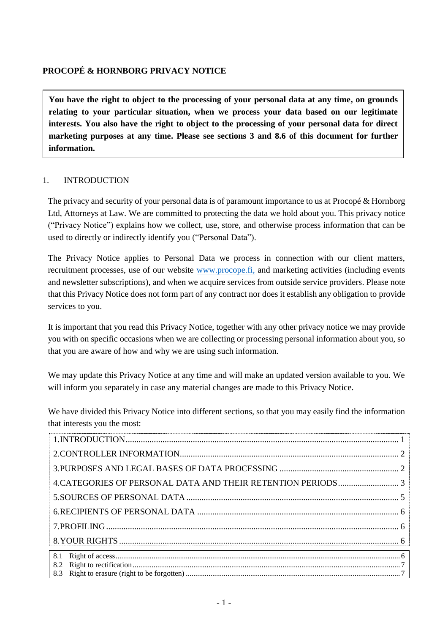# **PROCOPÉ & HORNBORG PRIVACY NOTICE**

**You have the right to object to the processing of your personal data at any time, on grounds relating to your particular situation, when we process your data based on our legitimate interests. You also have the right to object to the processing of your personal data for direct marketing purposes at any time. Please see sections [3](#page-1-1) and [8.6](#page-7-0) of this document for further information.**

### <span id="page-0-0"></span>1. INTRODUCTION

The privacy and security of your personal data is of paramount importance to us at Procopé & Hornborg Ltd, Attorneys at Law. We are committed to protecting the data we hold about you. This privacy notice ("Privacy Notice") explains how we collect, use, store, and otherwise process information that can be used to directly or indirectly identify you ("Personal Data").

The Privacy Notice applies to Personal Data we process in connection with our client matters, recruitment processes, use of our website [www.procope.fi,](http://www.procope.fi/) and marketing activities (including events and newsletter subscriptions), and when we acquire services from outside service providers. Please note that this Privacy Notice does not form part of any contract nor does it establish any obligation to provide services to you.

It is important that you read this Privacy Notice, together with any other privacy notice we may provide you with on specific occasions when we are collecting or processing personal information about you, so that you are aware of how and why we are using such information.

We may update this Privacy Notice at any time and will make an updated version available to you. We will inform you separately in case any material changes are made to this Privacy Notice.

We have divided this Privacy Notice into different sections, so that you may easily find the information that interests you the most: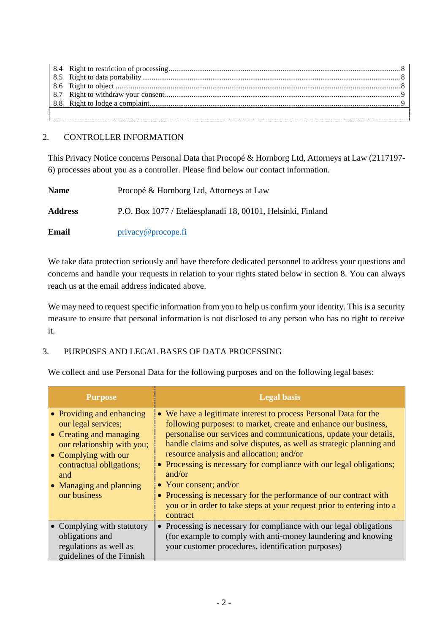## <span id="page-1-0"></span>2. CONTROLLER INFORMATION

This Privacy Notice concerns Personal Data that Procopé & Hornborg Ltd, Attorneys at Law (2117197- 6) processes about you as a controller. Please find below our contact information.

| <b>Name</b>    | Procopé & Hornborg Ltd, Attorneys at Law                    |
|----------------|-------------------------------------------------------------|
| <b>Address</b> | P.O. Box 1077 / Eteläesplanadi 18, 00101, Helsinki, Finland |
| Email          | $\text{privacy}\ \omega$ procope.fi                         |

We take data protection seriously and have therefore dedicated personnel to address your questions and concerns and handle your requests in relation to your rights stated below in section [8.](#page-5-2) You can always reach us at the email address indicated above.

We may need to request specific information from you to help us confirm your identity. This is a security measure to ensure that personal information is not disclosed to any person who has no right to receive it.

# <span id="page-1-1"></span>3. PURPOSES AND LEGAL BASES OF DATA PROCESSING

We collect and use Personal Data for the following purposes and on the following legal bases:

| <b>Purpose</b>                                                                                                                                                                                                  | <b>Legal basis</b>                                                                                                                                                                                                                                                                                                                                                                                                                                                                                                                                                                                  |
|-----------------------------------------------------------------------------------------------------------------------------------------------------------------------------------------------------------------|-----------------------------------------------------------------------------------------------------------------------------------------------------------------------------------------------------------------------------------------------------------------------------------------------------------------------------------------------------------------------------------------------------------------------------------------------------------------------------------------------------------------------------------------------------------------------------------------------------|
| • Providing and enhancing<br>our legal services;<br>• Creating and managing<br>our relationship with you;<br>• Complying with our<br>contractual obligations;<br>and<br>• Managing and planning<br>our business | • We have a legitimate interest to process Personal Data for the<br>following purposes: to market, create and enhance our business,<br>personalise our services and communications, update your details,<br>handle claims and solve disputes, as well as strategic planning and<br>resource analysis and allocation; and/or<br>• Processing is necessary for compliance with our legal obligations;<br>and/or<br>• Your consent; and/or<br>• Processing is necessary for the performance of our contract with<br>you or in order to take steps at your request prior to entering into a<br>contract |
| • Complying with statutory<br>obligations and<br>regulations as well as<br>guidelines of the Finnish                                                                                                            | • Processing is necessary for compliance with our legal obligations<br>(for example to comply with anti-money laundering and knowing<br>your customer procedures, identification purposes)                                                                                                                                                                                                                                                                                                                                                                                                          |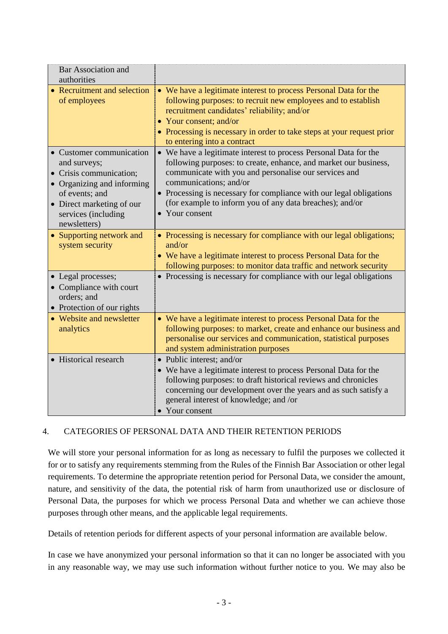| <b>Bar Association and</b><br>authorities                                                         |                                                                                                                                                                                                                                                                                                                     |
|---------------------------------------------------------------------------------------------------|---------------------------------------------------------------------------------------------------------------------------------------------------------------------------------------------------------------------------------------------------------------------------------------------------------------------|
| • Recruitment and selection<br>of employees                                                       | • We have a legitimate interest to process Personal Data for the<br>following purposes: to recruit new employees and to establish<br>recruitment candidates' reliability; and/or<br>• Your consent; and/or<br>• Processing is necessary in order to take steps at your request prior<br>to entering into a contract |
| • Customer communication<br>and surveys;<br>• Crisis communication;<br>• Organizing and informing | • We have a legitimate interest to process Personal Data for the<br>following purposes: to create, enhance, and market our business,<br>communicate with you and personalise our services and<br>communications; and/or                                                                                             |
| of events; and<br>• Direct marketing of our<br>services (including<br>newsletters)                | • Processing is necessary for compliance with our legal obligations<br>(for example to inform you of any data breaches); and/or<br>• Your consent                                                                                                                                                                   |
| • Supporting network and<br>system security                                                       | • Processing is necessary for compliance with our legal obligations;<br>and/or<br>• We have a legitimate interest to process Personal Data for the<br>following purposes: to monitor data traffic and network security                                                                                              |
| • Legal processes;<br>• Compliance with court<br>orders; and<br>• Protection of our rights        | • Processing is necessary for compliance with our legal obligations                                                                                                                                                                                                                                                 |
| • Website and newsletter<br>analytics                                                             | • We have a legitimate interest to process Personal Data for the<br>following purposes: to market, create and enhance our business and<br>personalise our services and communication, statistical purposes<br>and system administration purposes                                                                    |
| • Historical research                                                                             | • Public interest; and/or<br>• We have a legitimate interest to process Personal Data for the<br>following purposes: to draft historical reviews and chronicles<br>concerning our development over the years and as such satisfy a<br>general interest of knowledge; and /or<br>• Your consent                      |

# <span id="page-2-0"></span>4. CATEGORIES OF PERSONAL DATA AND THEIR RETENTION PERIODS

We will store your personal information for as long as necessary to fulfil the purposes we collected it for or to satisfy any requirements stemming from the Rules of the Finnish Bar Association or other legal requirements. To determine the appropriate retention period for Personal Data, we consider the amount, nature, and sensitivity of the data, the potential risk of harm from unauthorized use or disclosure of Personal Data, the purposes for which we process Personal Data and whether we can achieve those purposes through other means, and the applicable legal requirements.

Details of retention periods for different aspects of your personal information are available below.

In case we have anonymized your personal information so that it can no longer be associated with you in any reasonable way, we may use such information without further notice to you. We may also be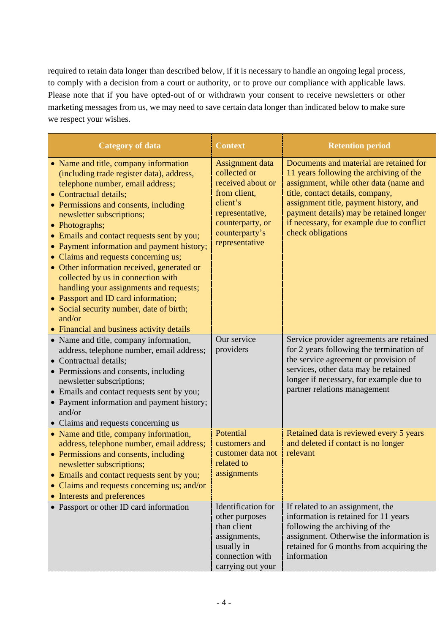required to retain data longer than described below, if it is necessary to handle an ongoing legal process, to comply with a decision from a court or authority, or to prove our compliance with applicable laws. Please note that if you have opted-out of or withdrawn your consent to receive newsletters or other marketing messages from us, we may need to save certain data longer than indicated below to make sure we respect your wishes.

| <b>Category of data</b>                                                                                                                                                                                                                                                                                                                                                                                                                                                                                                                                                                                                                               | <b>Context</b>                                                                                                                                              | <b>Retention period</b>                                                                                                                                                                                                                                                                                                 |
|-------------------------------------------------------------------------------------------------------------------------------------------------------------------------------------------------------------------------------------------------------------------------------------------------------------------------------------------------------------------------------------------------------------------------------------------------------------------------------------------------------------------------------------------------------------------------------------------------------------------------------------------------------|-------------------------------------------------------------------------------------------------------------------------------------------------------------|-------------------------------------------------------------------------------------------------------------------------------------------------------------------------------------------------------------------------------------------------------------------------------------------------------------------------|
| • Name and title, company information<br>(including trade register data), address,<br>telephone number, email address;<br>• Contractual details;<br>• Permissions and consents, including<br>newsletter subscriptions;<br>• Photographs;<br>• Emails and contact requests sent by you;<br>• Payment information and payment history;<br>• Claims and requests concerning us;<br>• Other information received, generated or<br>collected by us in connection with<br>handling your assignments and requests;<br>• Passport and ID card information;<br>• Social security number, date of birth;<br>and/or<br>• Financial and business activity details | Assignment data<br>collected or<br>received about or<br>from client,<br>client's<br>representative,<br>counterparty, or<br>counterparty's<br>representative | Documents and material are retained for<br>11 years following the archiving of the<br>assignment, while other data (name and<br>title, contact details, company,<br>assignment title, payment history, and<br>payment details) may be retained longer<br>if necessary, for example due to conflict<br>check obligations |
| • Name and title, company information,<br>address, telephone number, email address;<br>• Contractual details;<br>• Permissions and consents, including<br>newsletter subscriptions;<br>• Emails and contact requests sent by you;<br>• Payment information and payment history;<br>and/or<br>• Claims and requests concerning us                                                                                                                                                                                                                                                                                                                      | Our service<br>providers                                                                                                                                    | Service provider agreements are retained<br>for 2 years following the termination of<br>the service agreement or provision of<br>services, other data may be retained<br>longer if necessary, for example due to<br>partner relations management                                                                        |
| • Name and title, company information,<br>address, telephone number, email address;<br>• Permissions and consents, including<br>newsletter subscriptions;<br>• Emails and contact requests sent by you;<br>• Claims and requests concerning us; and/or<br>Interests and preferences                                                                                                                                                                                                                                                                                                                                                                   | Potential<br>customers and<br>customer data not<br>related to<br>assignments                                                                                | Retained data is reviewed every 5 years<br>and deleted if contact is no longer<br>relevant                                                                                                                                                                                                                              |
| • Passport or other ID card information                                                                                                                                                                                                                                                                                                                                                                                                                                                                                                                                                                                                               | Identification for<br>other purposes<br>than client<br>assignments,<br>usually in<br>connection with<br>carrying out your                                   | If related to an assignment, the<br>information is retained for 11 years<br>following the archiving of the<br>assignment. Otherwise the information is<br>retained for 6 months from acquiring the<br>information                                                                                                       |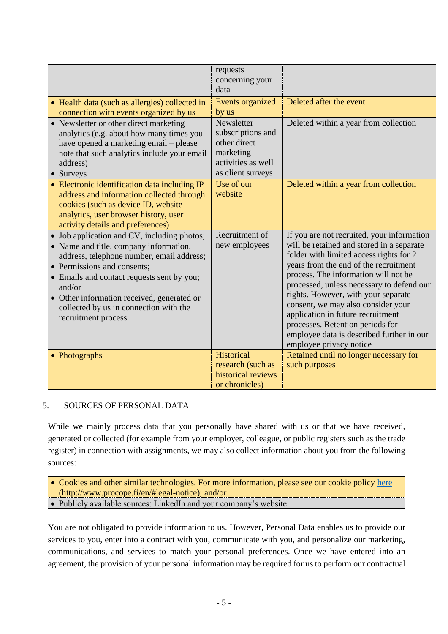|                                                                                                                                                                                                                                                                                                                                          | requests<br>concerning your<br>data                                                                     |                                                                                                                                                                                                                                                                                                                                                                                                                                                                                                |
|------------------------------------------------------------------------------------------------------------------------------------------------------------------------------------------------------------------------------------------------------------------------------------------------------------------------------------------|---------------------------------------------------------------------------------------------------------|------------------------------------------------------------------------------------------------------------------------------------------------------------------------------------------------------------------------------------------------------------------------------------------------------------------------------------------------------------------------------------------------------------------------------------------------------------------------------------------------|
| • Health data (such as allergies) collected in<br>connection with events organized by us                                                                                                                                                                                                                                                 | Events organized<br>by us                                                                               | Deleted after the event                                                                                                                                                                                                                                                                                                                                                                                                                                                                        |
| • Newsletter or other direct marketing<br>analytics (e.g. about how many times you<br>have opened a marketing email – please<br>note that such analytics include your email<br>address)<br>• Surveys                                                                                                                                     | Newsletter<br>subscriptions and<br>other direct<br>marketing<br>activities as well<br>as client surveys | Deleted within a year from collection                                                                                                                                                                                                                                                                                                                                                                                                                                                          |
| • Electronic identification data including IP<br>address and information collected through<br>cookies (such as device ID, website<br>analytics, user browser history, user<br>activity details and preferences)                                                                                                                          | Use of our<br>website                                                                                   | Deleted within a year from collection                                                                                                                                                                                                                                                                                                                                                                                                                                                          |
| • Job application and CV, including photos;<br>• Name and title, company information,<br>address, telephone number, email address;<br>• Permissions and consents;<br>• Emails and contact requests sent by you;<br>and/or<br>• Other information received, generated or<br>collected by us in connection with the<br>recruitment process | Recruitment of<br>new employees                                                                         | If you are not recruited, your information<br>will be retained and stored in a separate<br>folder with limited access rights for 2<br>years from the end of the recruitment<br>process. The information will not be<br>processed, unless necessary to defend our<br>rights. However, with your separate<br>consent, we may also consider your<br>application in future recruitment<br>processes. Retention periods for<br>employee data is described further in our<br>employee privacy notice |
| • Photographs                                                                                                                                                                                                                                                                                                                            | <b>Historical</b><br>research (such as<br>historical reviews<br>or chronicles)                          | Retained until no longer necessary for<br>such purposes                                                                                                                                                                                                                                                                                                                                                                                                                                        |

## <span id="page-4-0"></span>5. SOURCES OF PERSONAL DATA

While we mainly process data that you personally have shared with us or that we have received, generated or collected (for example from your employer, colleague, or public registers such as the trade register) in connection with assignments, we may also collect information about you from the following sources:

• Cookies and other similar technologies. For more information, please see our cookie policy [here](http://www.procope.fi/en/#legal-notice) [\(http://www.procope.fi/en/#legal-notice\)](http://www.procope.fi/en/#legal-notice); and/or

• Publicly available sources: LinkedIn and your company's website

You are not obligated to provide information to us. However, Personal Data enables us to provide our services to you, enter into a contract with you, communicate with you, and personalize our marketing, communications, and services to match your personal preferences. Once we have entered into an agreement, the provision of your personal information may be required for us to perform our contractual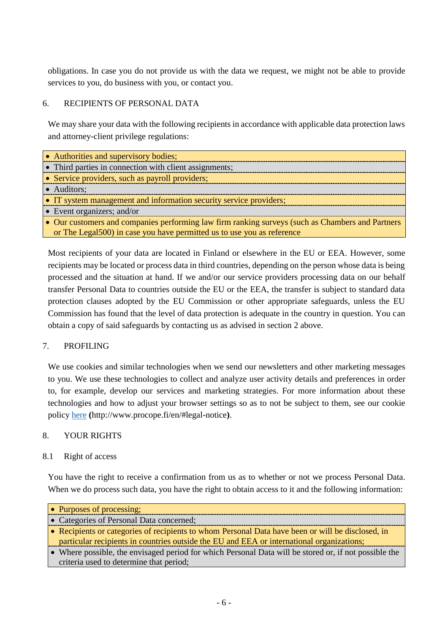obligations. In case you do not provide us with the data we request, we might not be able to provide services to you, do business with you, or contact you.

## <span id="page-5-0"></span>6. RECIPIENTS OF PERSONAL DATA

We may share your data with the following recipients in accordance with applicable data protection laws and attorney-client privilege regulations:

| • Authorities and supervisory bodies;                                                            |
|--------------------------------------------------------------------------------------------------|
| • Third parties in connection with client assignments;                                           |
| • Service providers, such as payroll providers;                                                  |
| • Auditors;                                                                                      |
| • IT system management and information security service providers;                               |
| $\bullet$ Event organizers; and/or                                                               |
| • Our customers and companies performing law firm ranking surveys (such as Chambers and Partners |
| or The Legal 500) in case you have permitted us to use you as reference                          |

Most recipients of your data are located in Finland or elsewhere in the EU or EEA. However, some recipients may be located or process data in third countries, depending on the person whose data is being processed and the situation at hand. If we and/or our service providers processing data on our behalf transfer Personal Data to countries outside the EU or the EEA, the transfer is subject to standard data protection clauses adopted by the EU Commission or other appropriate safeguards, unless the EU Commission has found that the level of data protection is adequate in the country in question. You can obtain a copy of said safeguards by contacting us as advised in section [2](#page-1-0) above.

# <span id="page-5-1"></span>7. PROFILING

We use cookies and similar technologies when we send our newsletters and other marketing messages to you. We use these technologies to collect and analyze user activity details and preferences in order to, for example, develop our services and marketing strategies. For more information about these technologies and how to adjust your browser settings so as to not be subject to them, see our cookie policy [here](http://www.procope.fi/en/#legal-notice) **(**http://www.procope.fi/en/#legal-notice**)**.

## <span id="page-5-2"></span>8. YOUR RIGHTS

## <span id="page-5-3"></span>8.1 Right of access

You have the right to receive a confirmation from us as to whether or not we process Personal Data. When we do process such data, you have the right to obtain access to it and the following information:

| • Purposes of processing;                                                                             |
|-------------------------------------------------------------------------------------------------------|
| • Categories of Personal Data concerned;                                                              |
| • Recipients or categories of recipients to whom Personal Data have been or will be disclosed, in     |
| particular recipients in countries outside the EU and EEA or international organizations;             |
| • Where possible, the envisaged period for which Personal Data will be stored or, if not possible the |
| criteria used to determine that period;                                                               |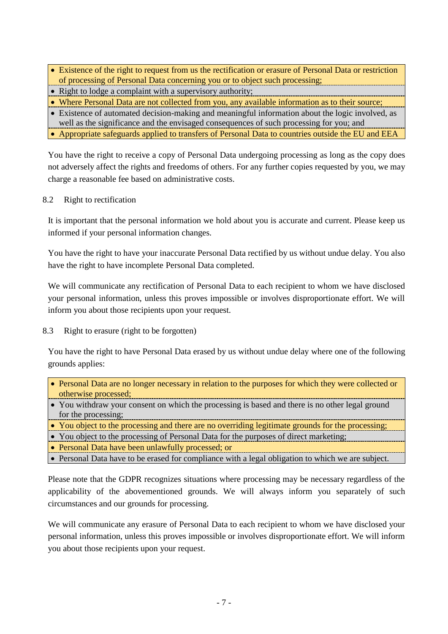- Existence of the right to request from us the rectification or erasure of Personal Data or restriction of processing of Personal Data concerning you or to object such processing;
- Right to lodge a complaint with a supervisory authority;
- Where Personal Data are not collected from you, any available information as to their source;
- Existence of automated decision-making and meaningful information about the logic involved, as
- well as the significance and the envisaged consequences of such processing for you; and
- Appropriate safeguards applied to transfers of Personal Data to countries outside the EU and EEA

You have the right to receive a copy of Personal Data undergoing processing as long as the copy does not adversely affect the rights and freedoms of others. For any further copies requested by you, we may charge a reasonable fee based on administrative costs.

<span id="page-6-0"></span>8.2 Right to rectification

It is important that the personal information we hold about you is accurate and current. Please keep us informed if your personal information changes.

You have the right to have your inaccurate Personal Data rectified by us without undue delay. You also have the right to have incomplete Personal Data completed.

We will communicate any rectification of Personal Data to each recipient to whom we have disclosed your personal information, unless this proves impossible or involves disproportionate effort. We will inform you about those recipients upon your request.

<span id="page-6-1"></span>8.3 Right to erasure (right to be forgotten)

You have the right to have Personal Data erased by us without undue delay where one of the following grounds applies:

- Personal Data are no longer necessary in relation to the purposes for which they were collected or otherwise processed;
- You withdraw your consent on which the processing is based and there is no other legal ground for the processing;
- You object to the processing and there are no overriding legitimate grounds for the processing;
- You object to the processing of Personal Data for the purposes of direct marketing;
- Personal Data have been unlawfully processed; or
- Personal Data have to be erased for compliance with a legal obligation to which we are subject.

Please note that the GDPR recognizes situations where processing may be necessary regardless of the applicability of the abovementioned grounds. We will always inform you separately of such circumstances and our grounds for processing.

We will communicate any erasure of Personal Data to each recipient to whom we have disclosed your personal information, unless this proves impossible or involves disproportionate effort. We will inform you about those recipients upon your request.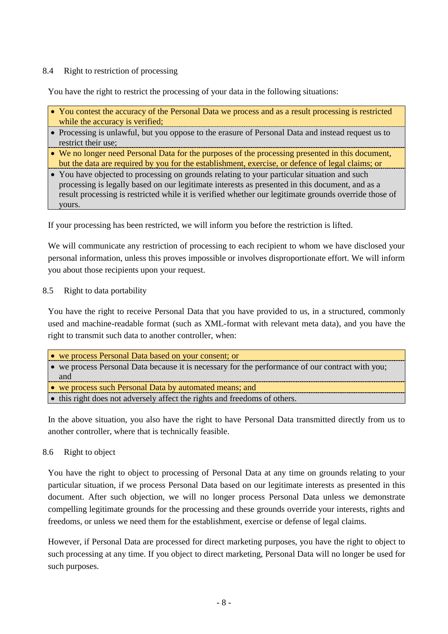### <span id="page-7-1"></span>8.4 Right to restriction of processing

You have the right to restrict the processing of your data in the following situations:

- You contest the accuracy of the Personal Data we process and as a result processing is restricted while the accuracy is verified;
- Processing is unlawful, but you oppose to the erasure of Personal Data and instead request us to restrict their use;
- We no longer need Personal Data for the purposes of the processing presented in this document, but the data are required by you for the establishment, exercise, or defence of legal claims; or
- You have objected to processing on grounds relating to your particular situation and such processing is legally based on our legitimate interests as presented in this document, and as a result processing is restricted while it is verified whether our legitimate grounds override those of yours.

If your processing has been restricted, we will inform you before the restriction is lifted.

We will communicate any restriction of processing to each recipient to whom we have disclosed your personal information, unless this proves impossible or involves disproportionate effort. We will inform you about those recipients upon your request.

#### <span id="page-7-2"></span>8.5 Right to data portability

You have the right to receive Personal Data that you have provided to us, in a structured, commonly used and machine-readable format (such as XML-format with relevant meta data), and you have the right to transmit such data to another controller, when:

| • we process Personal Data based on your consent; or                                             |  |
|--------------------------------------------------------------------------------------------------|--|
| • we process Personal Data because it is necessary for the performance of our contract with you; |  |
| and                                                                                              |  |
| • we process such Personal Data by automated means; and                                          |  |
| • this right does not adversely affect the rights and freedoms of others.                        |  |

In the above situation, you also have the right to have Personal Data transmitted directly from us to another controller, where that is technically feasible.

#### <span id="page-7-0"></span>8.6 Right to object

You have the right to object to processing of Personal Data at any time on grounds relating to your particular situation, if we process Personal Data based on our legitimate interests as presented in this document. After such objection, we will no longer process Personal Data unless we demonstrate compelling legitimate grounds for the processing and these grounds override your interests, rights and freedoms, or unless we need them for the establishment, exercise or defense of legal claims.

However, if Personal Data are processed for direct marketing purposes, you have the right to object to such processing at any time. If you object to direct marketing, Personal Data will no longer be used for such purposes.